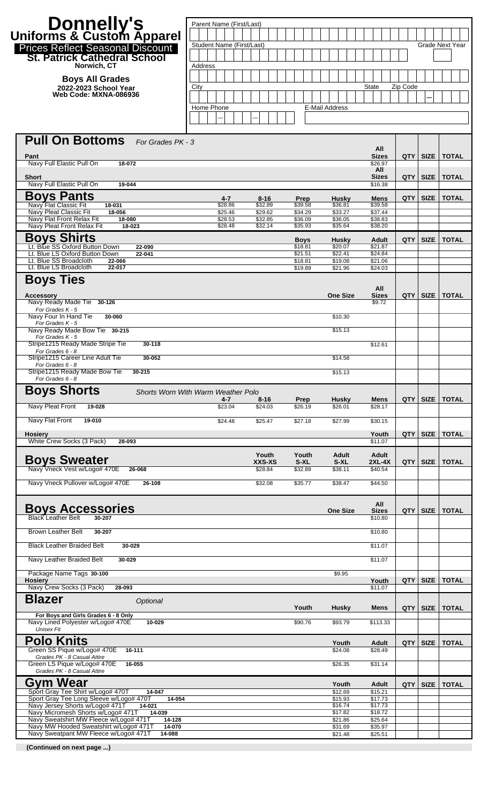| <b>Donnelly's</b><br>Uniforms & Custom Apparel<br>Prices Reflect Seasonal Discount<br><b>St. Patrick Cathedral School</b><br>Norwich, CT | Parent Name (First/Last)<br>Student Name (First/Last)<br>Address |                            |                          |                          |                                |            |             | <b>Grade Next Year</b> |
|------------------------------------------------------------------------------------------------------------------------------------------|------------------------------------------------------------------|----------------------------|--------------------------|--------------------------|--------------------------------|------------|-------------|------------------------|
| <b>Boys All Grades</b><br>2022-2023 School Year<br>Web Code: MXNA-086936                                                                 | City<br>Home Phone                                               |                            |                          | E-Mail Address           | <b>State</b>                   | Zip Code   |             |                        |
| <b>Pull On Bottoms</b> For Grades PK - 3<br>Pant                                                                                         |                                                                  |                            |                          |                          | All<br><b>Sizes</b>            | <b>QTY</b> | SIZE        | <b>TOTAL</b>           |
| Navy Full Elastic Pull On<br>18-072<br>Short<br>Navy Full Elastic Pull On<br>19-044                                                      |                                                                  |                            |                          |                          | \$26.97<br>All<br><b>Sizes</b> | <b>QTY</b> | <b>SIZE</b> | <b>TOTAL</b>           |
| <b>Boys Pants</b>                                                                                                                        | 4-7                                                              | $8 - 16$                   | Prep                     | <b>Husky</b>             | \$16.38<br>Mens                | QTY        | <b>SIZE</b> | <b>TOTAL</b>           |
| Navy Flat Classic Fit<br>18-031<br>Navy Pleat Classic Fit<br>18-056                                                                      | \$28.86<br>\$25.46                                               | \$32.89<br>\$29.62         | \$39.58<br>\$34.29       | \$36.81<br>\$33.27       | \$39.58<br>\$37.44             |            |             |                        |
| Navy Flat Front Relax Fit<br>18-080<br>Navy Pleat Front Relax Fit<br>18-023                                                              | \$28.53<br>\$28.48                                               | \$32.85<br>\$32.14         | \$36.09<br>\$35.93       | \$36.05<br>\$35.64       | \$38.83<br>\$38.20             |            |             |                        |
| <b>Boys Shirts</b>                                                                                                                       |                                                                  |                            | <b>Boys</b>              | <b>Husky</b>             | Adult                          | <b>QTY</b> | <b>SIZE</b> | <b>TOTAL</b>           |
| Lt. Blue SS Oxford Button Down<br>22-090<br>Lt. Blue LS Oxford Button Down<br>22-041                                                     |                                                                  |                            | \$18.81<br>\$21.51       | \$20.07<br>\$22.41       | \$21.87<br>\$24.84             |            |             |                        |
| Lt. Blue SS Broadcloth<br>22-066<br>Lt. Blue LS Broadcloth<br>22-017                                                                     |                                                                  |                            | \$18.81<br>\$19.89       | \$19.08<br>\$21.96       | \$21.06<br>\$24.03             |            |             |                        |
| <b>Boys Ties</b>                                                                                                                         |                                                                  |                            |                          |                          |                                |            |             |                        |
| <b>Accessory</b>                                                                                                                         |                                                                  |                            |                          | <b>One Size</b>          | All<br><b>Sizes</b>            | <b>QTY</b> | <b>SIZE</b> | <b>TOTAL</b>           |
| Navy Ready Made Tie 30-126<br>For Grades K - 5                                                                                           |                                                                  |                            |                          |                          | \$9.72                         |            |             |                        |
| Navy Four In Hand Tie<br>30-060<br>For Grades K - 5                                                                                      |                                                                  |                            |                          | \$10.30                  |                                |            |             |                        |
| Navy Ready Made Bow Tie 30-215<br>For Grades K - 5                                                                                       |                                                                  |                            |                          | \$15.13                  |                                |            |             |                        |
| Stripe1215 Ready Made Stripe Tie<br>30-118<br>For Grades 6 - 8                                                                           |                                                                  |                            |                          |                          | \$12.61                        |            |             |                        |
| Stripe1215 Career Line Adult Tie<br>30-052<br>For Grades 6 - 8                                                                           |                                                                  |                            |                          | \$14.58                  |                                |            |             |                        |
| Stripe1215 Ready Made Bow Tie<br>30-215<br>For Grades 6 - 8                                                                              |                                                                  |                            |                          | \$15.13                  |                                |            |             |                        |
| <b>Boys Shorts</b>                                                                                                                       | Shorts Worn With Warm Weather Polo<br>4-7                        | $8 - 16$                   | Prep                     | <b>Husky</b>             | Mens                           | QTY        | <b>SIZE</b> | <b>TOTAL</b>           |
| Navy Pleat Front<br>19-028                                                                                                               | \$23.04                                                          | \$24.03                    | \$26.19                  | \$26.01                  | \$28.17                        |            |             |                        |
| Navy Flat Front<br>19-010                                                                                                                | \$24.48                                                          | \$25.47                    | \$27.18                  | \$27.99                  | \$30.15                        |            |             |                        |
| <b>Hosiery</b><br>White Crew Socks (3 Pack)<br>28-093                                                                                    |                                                                  |                            |                          |                          | Youth<br>\$11.07               | <b>QTY</b> | <b>SIZE</b> | <b>TOTAL</b>           |
| <b>Boys Sweater</b><br>Navy Vneck Vest w/Logo# 470E<br>26-068                                                                            |                                                                  | Youth<br>XXS-XS<br>\$28.84 | Youth<br>S-XL<br>\$32.89 | Adult<br>S-XL<br>\$38.11 | Adult<br>2XL-4X<br>\$40.54     | QTY        | <b>SIZE</b> | <b>TOTAL</b>           |
| Navy Vneck Pullover w/Logo# 470E<br>26-108                                                                                               |                                                                  | \$32.08                    | \$35.77                  | \$38.47                  | \$44.50                        |            |             |                        |
| <b>Boys Accessories</b><br><b>Black Leather Belt</b><br>30-207                                                                           |                                                                  |                            |                          | <b>One Size</b>          | All<br><b>Sizes</b><br>\$10.80 | <b>QTY</b> | <b>SIZE</b> | <b>TOTAL</b>           |
| <b>Brown Leather Belt</b><br>30-207                                                                                                      |                                                                  |                            |                          |                          | \$10.80                        |            |             |                        |
| <b>Black Leather Braided Belt</b><br>30-029                                                                                              |                                                                  |                            |                          |                          | \$11.07                        |            |             |                        |
| Navy Leather Braided Belt<br>30-029                                                                                                      |                                                                  |                            |                          |                          | \$11.07                        |            |             |                        |
| Package Name Tags 30-100                                                                                                                 |                                                                  |                            |                          | \$9.95                   |                                |            |             |                        |
| Hosiery<br>Navy Crew Socks (3 Pack)<br>28-093                                                                                            |                                                                  |                            |                          |                          | Youth<br>\$11.07               | QTY        | <b>SIZE</b> | <b>TOTAL</b>           |
| <b>Blazer</b><br>Optional<br>For Boys and Girls Grades 6 - 8 Only                                                                        |                                                                  |                            | Youth                    | <b>Husky</b>             | Mens                           | QTY I      | <b>SIZE</b> | <b>TOTAL</b>           |
| Navy Lined Polyester w/Logo# 470E<br>10-029<br><b>Unisex Fit</b>                                                                         |                                                                  |                            | \$90.76                  | \$93.79                  | \$113.33                       |            |             |                        |
| Polo Knits                                                                                                                               |                                                                  |                            |                          | Youth                    | Adult                          | QTY        | <b>SIZE</b> | <b>TOTAL</b>           |
| Green SS Pique w/Logo# 470E<br>16-111<br>Grades PK - 8 Casual Attire                                                                     |                                                                  |                            |                          | \$24.08                  | \$28.49                        |            |             |                        |
| Green LS Pique w/Logo# 470E<br>16-055<br>Grades PK - 8 Casual Attire                                                                     |                                                                  |                            |                          | \$26.35                  | \$31.14                        |            |             |                        |
| <b>Gym Wear</b>                                                                                                                          |                                                                  |                            |                          | Youth                    | <b>Adult</b>                   | QTY        | <b>SIZE</b> | <b>TOTAL</b>           |
| Sport Gray Tee Shirt w/Logo# 470T<br>14-047<br>Sport Gray Tee Long Sleeve w/Logo# 470T<br>14-054                                         |                                                                  |                            |                          | \$12.69<br>\$15.93       | \$15.21<br>\$17.73             |            |             |                        |
| Navy Jersey Shorts w/Logo# 471T<br>14-021<br>Navy Micromesh Shorts w/Logo# 471T<br>14-039                                                |                                                                  |                            |                          | \$16.74<br>\$17.82       | \$17.73<br>\$18.72             |            |             |                        |
| Navy Sweatshirt MW Fleece w/Logo# 471T<br>14-128<br>Navy MW Hooded Sweatshirt w/Logo# 471T<br>14-070                                     |                                                                  |                            |                          | \$21.86<br>\$31.69       | \$25.64<br>\$35.97             |            |             |                        |
| Navy Sweatpant MW Fleece w/Logo# 471T<br>14-088                                                                                          |                                                                  |                            |                          | \$21.48                  | \$25.51                        |            |             |                        |

 **(Continued on next page ...)**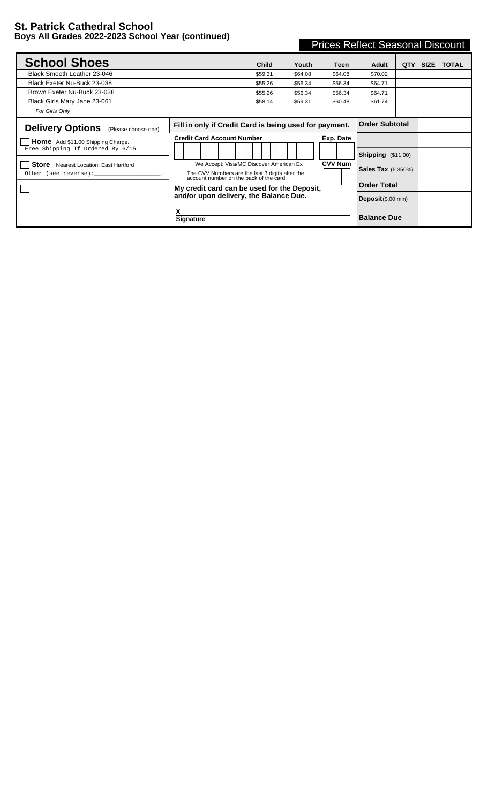## **St. Patrick Cathedral School Boys All Grades 2022-2023 School Year (continued)**

| <b>Prices Reflect Seasonal Discount</b> |  |
|-----------------------------------------|--|
|                                         |  |

| <b>School Shoes</b>                                                          | <b>Child</b>                                                                                                                       | Youth   | Teen           | Adult                         | QTY                         | <b>SIZE</b> | <b>TOTAL</b> |
|------------------------------------------------------------------------------|------------------------------------------------------------------------------------------------------------------------------------|---------|----------------|-------------------------------|-----------------------------|-------------|--------------|
| Black Smooth Leather 23-046                                                  | \$59.31                                                                                                                            | \$64.08 | \$64.08        | \$70.02                       |                             |             |              |
| Black Exeter Nu-Buck 23-038                                                  | \$55.26                                                                                                                            | \$56.34 | \$56.34        | \$64.71                       |                             |             |              |
| Brown Exeter Nu-Buck 23-038                                                  | \$55.26                                                                                                                            | \$56.34 | \$56.34        | \$64.71                       |                             |             |              |
| Black Girls Mary Jane 23-061                                                 | \$58.14                                                                                                                            | \$59.31 | \$60.48        | \$61.74                       |                             |             |              |
| For Girls Only                                                               |                                                                                                                                    |         |                |                               |                             |             |              |
| <b>Delivery Options</b><br>(Please choose one)                               | Fill in only if Credit Card is being used for payment.                                                                             |         |                | <b>Order Subtotal</b>         |                             |             |              |
| <b>Home</b> Add \$11.00 Shipping Charge.<br>Free Shipping If Ordered By 6/15 | <b>Credit Card Account Number</b>                                                                                                  |         | Exp. Date      |                               |                             |             |              |
|                                                                              |                                                                                                                                    |         |                | $\mathsf{Shipping}$ (\$11.00) |                             |             |              |
| <b>Store</b> Nearest Location: East Hartford<br>Other (see reverse):         | We Accept: Visa/MC Discover American Ex<br>The CVV Numbers are the last 3 digits after the account number on the back of the card. |         | <b>CVV Num</b> | <b>Sales Tax</b> (6.350%)     |                             |             |              |
|                                                                              | My credit card can be used for the Deposit.                                                                                        |         |                |                               |                             |             |              |
| and/or upon delivery, the Balance Due.                                       |                                                                                                                                    |         |                |                               | <b>Deposit</b> $($.00 min)$ |             |              |
|                                                                              | х<br><b>Signature</b>                                                                                                              |         |                | <b>Balance Due</b>            |                             |             |              |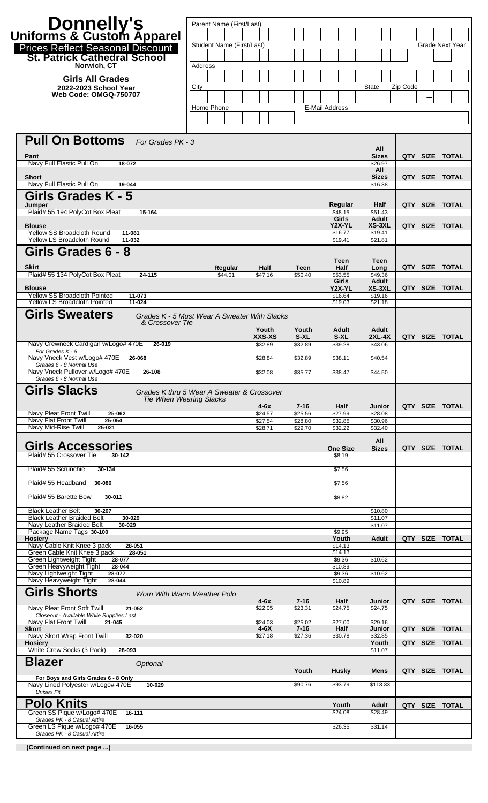| Donnelly's<br>Uniforms & Custom Apparel                                             | Parent Name (First/Last)                     |                    |                     |                           |                          |            |             |                        |
|-------------------------------------------------------------------------------------|----------------------------------------------|--------------------|---------------------|---------------------------|--------------------------|------------|-------------|------------------------|
|                                                                                     | Student Name (First/Last)                    |                    |                     |                           |                          |            |             | <b>Grade Next Year</b> |
| <b>Prices Reflect Seasonal Discount</b><br><b>St. Patrick Cathedral School</b>      |                                              |                    |                     |                           |                          |            |             |                        |
| Norwich, CT<br><b>Girls All Grades</b>                                              | Address                                      |                    |                     |                           |                          |            |             |                        |
| 2022-2023 School Year<br><b>Web Code: OMGQ-750707</b>                               | City                                         |                    |                     |                           | <b>State</b>             | Zip Code   |             |                        |
|                                                                                     | Home Phone                                   |                    |                     | <b>E-Mail Address</b>     |                          |            |             |                        |
|                                                                                     |                                              |                    |                     |                           |                          |            |             |                        |
| <b>Pull On Bottoms</b><br>For Grades PK - 3                                         |                                              |                    |                     |                           |                          |            |             |                        |
| Pant                                                                                |                                              |                    |                     |                           | All<br><b>Sizes</b>      | QTY        | <b>SIZE</b> | <b>TOTAL</b>           |
| Navy Full Elastic Pull On<br>18-072                                                 |                                              |                    |                     |                           | \$26.97<br>All           |            |             |                        |
| <b>Short</b><br>Navy Full Elastic Pull On<br>19-044                                 |                                              |                    |                     |                           | <b>Sizes</b><br>\$16.38  | QTY        | <b>SIZE</b> | <b>TOTAL</b>           |
| Girls Grades K - 5<br>Jumper                                                        |                                              |                    |                     | Regular                   | Half                     | QTY        | <b>SIZE</b> | <b>TOTAL</b>           |
| Plaid# 55 194 PolyCot Box Pleat<br>15-164                                           |                                              |                    |                     | \$48.15<br>Girls          | \$51.43<br>Adult         |            |             |                        |
| <b>Blouse</b><br>Yellow SS Broadcloth Round<br>11-081                               |                                              |                    |                     | Y2X-YL<br>\$16.77         | XS-3XL<br>\$19.41        | QTY        | <b>SIZE</b> | <b>TOTAL</b>           |
| <b>Yellow LS Broadcloth Round</b><br>11-032<br>Girls Grades 6 - 8                   |                                              |                    |                     | \$19.41                   | \$21.81                  |            |             |                        |
| <b>Skirt</b>                                                                        | Regular                                      | Half               | Teen                | Teen<br>Half              | Teen<br>Long             | <b>QTY</b> | <b>SIZE</b> | <b>TOTAL</b>           |
| Plaid# 55 134 PolyCot Box Pleat<br>24-115                                           | \$44.01                                      | \$47.16            | \$50.40             | \$53.55<br>Girls          | \$49.36<br>Adult         |            |             |                        |
| <b>Blouse</b><br><b>Yellow SS Broadcloth Pointed</b><br>11-073                      |                                              |                    |                     | Y2X-YL<br>\$16.64         | XS-3XL<br>\$19.16        | QTY        | <b>SIZE</b> | <b>TOTAL</b>           |
| <b>Yellow LS Broadcloth Pointed</b><br>11-024<br><b>Girls Sweaters</b>              |                                              |                    |                     | \$19.03                   | \$21.18                  |            |             |                        |
| & Crossover Tie                                                                     | Grades K - 5 Must Wear A Sweater With Slacks | Youth              | Youth               | Adult                     | Adult                    |            |             |                        |
| Navy Crewneck Cardigan w/Logo# 470E<br>26-019                                       |                                              | XXS-XS<br>\$32.89  | S-XL<br>\$32.89     | S-XL<br>\$39.28           | <b>2XL-4X</b><br>\$43.06 |            | QTY SIZE    | <b>TOTAL</b>           |
| For Grades K - 5<br>Navy Vneck Vest w/Logo# 470E<br>26-068                          |                                              | \$28.84            | \$32.89             | \$38.11                   | \$40.54                  |            |             |                        |
| Grades 6 - 8 Normal Use<br>Navy Vneck Pullover w/Logo# 470E 26-108                  |                                              | \$32.08            | \$35.77             | \$38.47                   | \$44.50                  |            |             |                        |
| Grades 6 - 8 Normal Use<br><b>Girls Slacks</b>                                      | Grades K thru 5 Wear A Sweater & Crossover   |                    |                     |                           |                          |            |             |                        |
|                                                                                     | <b>Tie When Wearing Slacks</b>               | $4-6x$             | $7 - 16$            | Half                      | Junior                   |            | QTY   SIZE  | <b>TOTAL</b>           |
| Navy Pleat Front Twill<br>25-062<br>Navy Flat Front Twill<br>25-054                 |                                              | \$24.57<br>\$27.54 | \$25.56<br>\$28.80  | \$27.99<br>\$32.85        | \$28.08<br>\$30.96       |            |             |                        |
| Navy Mid-Rise Twill<br>25-021                                                       |                                              | \$28.71            | \$29.70             | \$32.22                   | \$32.40                  |            |             |                        |
| Girls Accessories<br>Plaid# 55 Crossover Tie<br>30-142                              |                                              |                    |                     | <b>One Size</b><br>\$8.19 | All<br><b>Sizes</b>      | QTY        | <b>SIZE</b> | <b>TOTAL</b>           |
| Plaid# 55 Scrunchie<br>30-134                                                       |                                              |                    |                     | \$7.56                    |                          |            |             |                        |
| Plaid# 55 Headband<br>30-086                                                        |                                              |                    |                     | \$7.56                    |                          |            |             |                        |
| Plaid# 55 Barette Bow<br>30-011                                                     |                                              |                    |                     | \$8.82                    |                          |            |             |                        |
| <b>Black Leather Belt</b><br>30-207<br><b>Black Leather Braided Belt</b>            |                                              |                    |                     |                           | \$10.80                  |            |             |                        |
| 30-029<br>Navy Leather Braided Belt<br>30-029<br>Package Name Tags 30-100           |                                              |                    |                     | \$9.95                    | \$11.07<br>\$11.07       |            |             |                        |
| <b>Hosiery</b><br>Navy Cable Knit Knee 3 pack<br>28-051                             |                                              |                    |                     | Youth<br>\$14.13          | Adult                    | QTY        | <b>SIZE</b> | <b>TOTAL</b>           |
| Green Cable Knit Knee 3 pack<br>28-051<br>Green Lightweight Tight<br>28-077         |                                              |                    |                     | \$14.13<br>\$9.36         | \$10.62                  |            |             |                        |
| Green Heavyweight Tight<br>28-044<br>Navy Lightweight Tight<br>28-077               |                                              |                    |                     | \$10.89<br>\$9.36         | \$10.62                  |            |             |                        |
| Navy Heavyweight Tight<br>28-044<br><b>Girls Shorts</b>                             | Worn With Warm Weather Polo                  |                    |                     | \$10.89                   |                          |            |             |                        |
| Navy Pleat Front Soft Twill<br>21-052                                               |                                              | $4-6x$<br>\$22.05  | $7 - 16$<br>\$23.31 | Half<br>\$24.75           | Junior<br>\$24.75        | <b>QTY</b> | <b>SIZE</b> | <b>TOTAL</b>           |
| Closeout - Available While Supplies Last<br>Navy Flat Front Twill<br>21-045         |                                              | \$24.03            | \$25.02             | \$27.00                   | \$29.16                  |            |             |                        |
| <b>Skort</b><br>Navy Skort Wrap Front Twill<br>32-020                               |                                              | 4-6X<br>\$27.18    | $7 - 16$<br>\$27.36 | Half<br>\$30.78           | Junior<br>\$32.85        | <b>QTY</b> | <b>SIZE</b> | <b>TOTAL</b>           |
| <b>Hosiery</b><br>White Crew Socks (3 Pack)<br>28-093                               |                                              |                    |                     |                           | Youth<br>\$11.07         | <b>QTY</b> | <b>SIZE</b> | <b>TOTAL</b>           |
| <b>Blazer</b><br>Optional                                                           |                                              |                    | Youth               | <b>Husky</b>              | <b>Mens</b>              | QTY        | <b>SIZE</b> | <b>TOTAL</b>           |
| For Boys and Girls Grades 6 - 8 Only<br>Navy Lined Polyester w/Logo# 470E<br>10-029 |                                              |                    | \$90.76             | \$93.79                   | \$113.33                 |            |             |                        |
| <b>Unisex Fit</b><br><b>Polo Knits</b>                                              |                                              |                    |                     |                           |                          |            |             |                        |
| Green SS Pique w/Logo# 470E<br>16-111                                               |                                              |                    |                     | Youth<br>\$24.08          | Adult<br>\$28.49         | <b>QTY</b> | <b>SIZE</b> | <b>TOTAL</b>           |
| Grades PK - 8 Casual Attire<br>Green LS Pique w/Logo# 470E<br>16-055                |                                              |                    |                     | \$26.35                   | \$31.14                  |            |             |                        |
| Grades PK - 8 Casual Attire                                                         |                                              |                    |                     |                           |                          |            |             |                        |